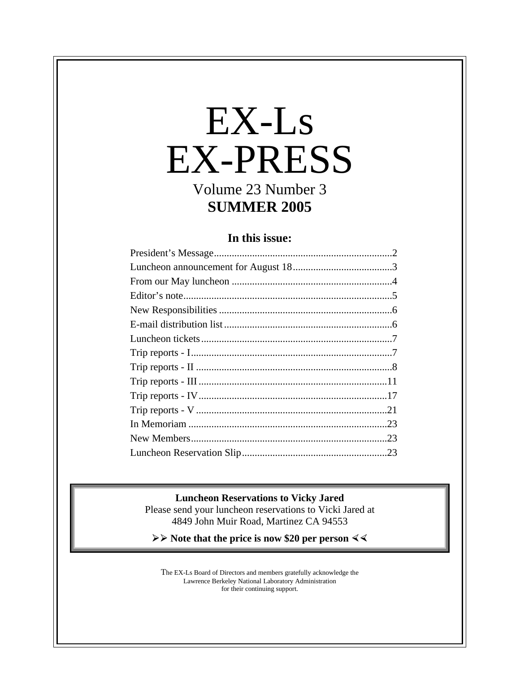# EX-Ls EX-PRESS

Volume 23 Number 3 **SUMMER 2005**

## **In this issue:**

#### **Luncheon Reservations to Vicky Jared**

Please send your luncheon reservations to Vicki Jared at 4849 John Muir Road, Martinez CA 94553

**≽** ≻ Note that the price is now \$20 per person  $\leq$ 

The EX-Ls Board of Directors and members gratefully acknowledge the Lawrence Berkeley National Laboratory Administration for their continuing support.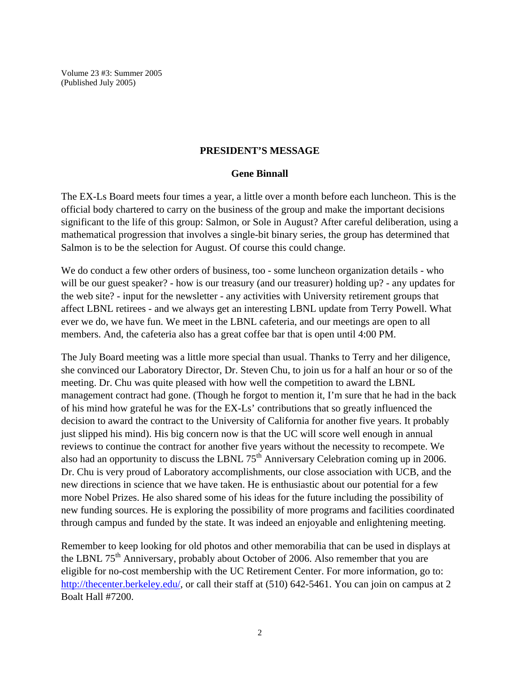Volume 23 #3: Summer 2005 (Published July 2005)

#### **PRESIDENT'S MESSAGE**

#### **Gene Binnall**

The EX-Ls Board meets four times a year, a little over a month before each luncheon. This is the official body chartered to carry on the business of the group and make the important decisions significant to the life of this group: Salmon, or Sole in August? After careful deliberation, using a mathematical progression that involves a single-bit binary series, the group has determined that Salmon is to be the selection for August. Of course this could change.

We do conduct a few other orders of business, too - some luncheon organization details - who will be our guest speaker? - how is our treasury (and our treasurer) holding up? - any updates for the web site? - input for the newsletter - any activities with University retirement groups that affect LBNL retirees - and we always get an interesting LBNL update from Terry Powell. What ever we do, we have fun. We meet in the LBNL cafeteria, and our meetings are open to all members. And, the cafeteria also has a great coffee bar that is open until 4:00 PM.

The July Board meeting was a little more special than usual. Thanks to Terry and her diligence, she convinced our Laboratory Director, Dr. Steven Chu, to join us for a half an hour or so of the meeting. Dr. Chu was quite pleased with how well the competition to award the LBNL management contract had gone. (Though he forgot to mention it, I'm sure that he had in the back of his mind how grateful he was for the EX-Ls' contributions that so greatly influenced the decision to award the contract to the University of California for another five years. It probably just slipped his mind). His big concern now is that the UC will score well enough in annual reviews to continue the contract for another five years without the necessity to recompete. We also had an opportunity to discuss the LBNL  $75<sup>th</sup>$  Anniversary Celebration coming up in 2006. Dr. Chu is very proud of Laboratory accomplishments, our close association with UCB, and the new directions in science that we have taken. He is enthusiastic about our potential for a few more Nobel Prizes. He also shared some of his ideas for the future including the possibility of new funding sources. He is exploring the possibility of more programs and facilities coordinated through campus and funded by the state. It was indeed an enjoyable and enlightening meeting.

Remember to keep looking for old photos and other memorabilia that can be used in displays at the LBNL  $75<sup>th</sup>$  Anniversary, probably about October of 2006. Also remember that you are eligible for no-cost membership with the UC Retirement Center. For more information, go to: http://thecenter.berkeley.edu/, or call their staff at (510) 642-5461. You can join on campus at 2 Boalt Hall #7200.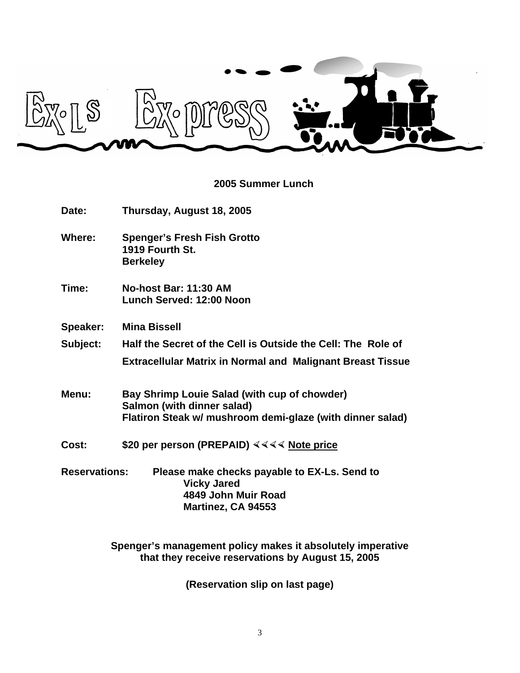

## **2005 Summer Lunch**

| Date:                | Thursday, August 18, 2005                                                                                                               |  |  |
|----------------------|-----------------------------------------------------------------------------------------------------------------------------------------|--|--|
| Where:               | <b>Spenger's Fresh Fish Grotto</b><br>1919 Fourth St.<br><b>Berkeley</b>                                                                |  |  |
| Time:                | <b>No-host Bar: 11:30 AM</b><br>Lunch Served: 12:00 Noon                                                                                |  |  |
| Speaker:             | <b>Mina Bissell</b>                                                                                                                     |  |  |
| Subject:             | Half the Secret of the Cell is Outside the Cell: The Role of                                                                            |  |  |
|                      | <b>Extracellular Matrix in Normal and Malignant Breast Tissue</b>                                                                       |  |  |
| Menu:                | Bay Shrimp Louie Salad (with cup of chowder)<br>Salmon (with dinner salad)<br>Flatiron Steak w/ mushroom demi-glaze (with dinner salad) |  |  |
| Cost:                | \$20 per person (PREPAID) $444$ Note price                                                                                              |  |  |
| <b>Reservations:</b> | Please make checks payable to EX-Ls. Send to<br><b>Vicky Jared</b><br>4849 John Muir Road<br>Martinez, CA 94553                         |  |  |

**Spenger's management policy makes it absolutely imperative that they receive reservations by August 15, 2005**

**(Reservation slip on last page)**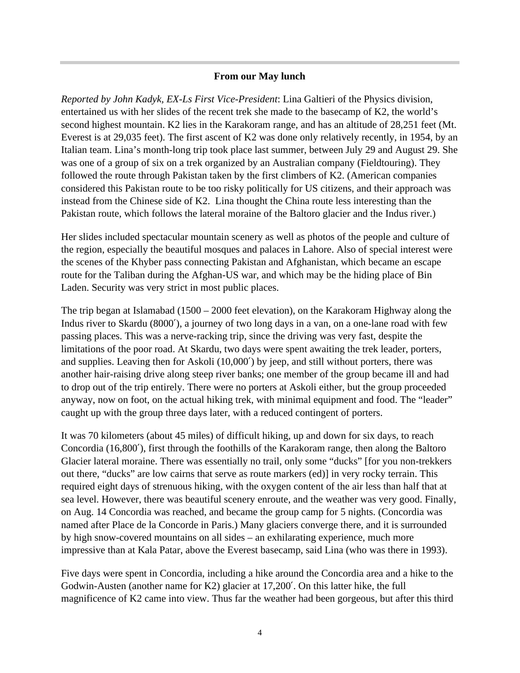#### **From our May lunch**

*Reported by John Kadyk, EX-Ls First Vice-President*: Lina Galtieri of the Physics division, entertained us with her slides of the recent trek she made to the basecamp of K2, the world's second highest mountain. K2 lies in the Karakoram range, and has an altitude of 28,251 feet (Mt. Everest is at 29,035 feet). The first ascent of K2 was done only relatively recently, in 1954, by an Italian team. Lina's month-long trip took place last summer, between July 29 and August 29. She was one of a group of six on a trek organized by an Australian company (Fieldtouring). They followed the route through Pakistan taken by the first climbers of K2. (American companies considered this Pakistan route to be too risky politically for US citizens, and their approach was instead from the Chinese side of K2. Lina thought the China route less interesting than the Pakistan route, which follows the lateral moraine of the Baltoro glacier and the Indus river.)

Her slides included spectacular mountain scenery as well as photos of the people and culture of the region, especially the beautiful mosques and palaces in Lahore. Also of special interest were the scenes of the Khyber pass connecting Pakistan and Afghanistan, which became an escape route for the Taliban during the Afghan-US war, and which may be the hiding place of Bin Laden. Security was very strict in most public places.

The trip began at Islamabad (1500 – 2000 feet elevation), on the Karakoram Highway along the Indus river to Skardu (8000′), a journey of two long days in a van, on a one-lane road with few passing places. This was a nerve-racking trip, since the driving was very fast, despite the limitations of the poor road. At Skardu, two days were spent awaiting the trek leader, porters, and supplies. Leaving then for Askoli (10,000′) by jeep, and still without porters, there was another hair-raising drive along steep river banks; one member of the group became ill and had to drop out of the trip entirely. There were no porters at Askoli either, but the group proceeded anyway, now on foot, on the actual hiking trek, with minimal equipment and food. The "leader" caught up with the group three days later, with a reduced contingent of porters.

It was 70 kilometers (about 45 miles) of difficult hiking, up and down for six days, to reach Concordia (16,800′), first through the foothills of the Karakoram range, then along the Baltoro Glacier lateral moraine. There was essentially no trail, only some "ducks" [for you non-trekkers out there, "ducks" are low cairns that serve as route markers (ed)] in very rocky terrain. This required eight days of strenuous hiking, with the oxygen content of the air less than half that at sea level. However, there was beautiful scenery enroute, and the weather was very good. Finally, on Aug. 14 Concordia was reached, and became the group camp for 5 nights. (Concordia was named after Place de la Concorde in Paris.) Many glaciers converge there, and it is surrounded by high snow-covered mountains on all sides – an exhilarating experience, much more impressive than at Kala Patar, above the Everest basecamp, said Lina (who was there in 1993).

Five days were spent in Concordia, including a hike around the Concordia area and a hike to the Godwin-Austen (another name for K2) glacier at 17,200′. On this latter hike, the full magnificence of K2 came into view. Thus far the weather had been gorgeous, but after this third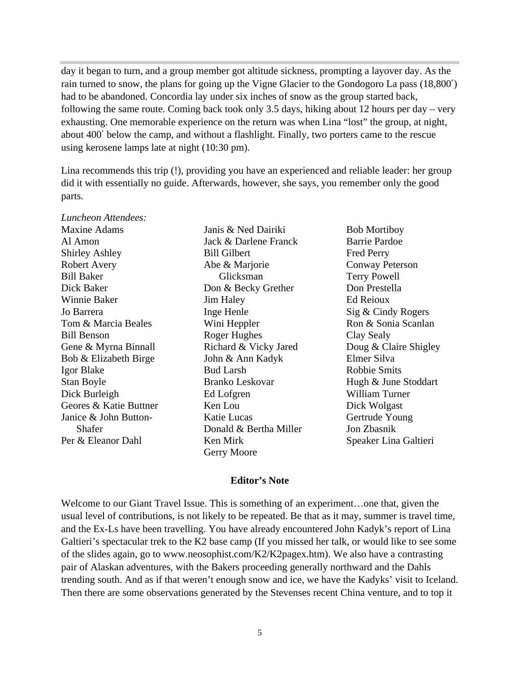day it began to turn, and a group member got altitude sickness, prompting a layover day. As the rain turned to snow, the plans for going up the Vigne Glacier to the Gondogoro La pass (18,800′) had to be abandoned. Concordia lay under six inches of snow as the group started back, following the same route. Coming back took only 3.5 days, hiking about 12 hours per day – very exhausting. One memorable experience on the return was when Lina "lost" the group, at night, about 400′ below the camp, and without a flashlight. Finally, two porters came to the rescue using kerosene lamps late at night (10:30 pm).

Lina recommends this trip (!), providing you have an experienced and reliable leader: her group did it with essentially no guide. Afterwards, however, she says, you remember only the good parts.

| Luncheon Attendees:    |                        |                        |
|------------------------|------------------------|------------------------|
| <b>Maxine Adams</b>    | Janis & Ned Dairiki    | <b>Bob Mortiboy</b>    |
| Al Amon                | Jack & Darlene Franck  | <b>Barrie Pardoe</b>   |
| Shirley Ashley         | <b>Bill Gilbert</b>    | <b>Fred Perry</b>      |
| <b>Robert Avery</b>    | Abe & Marjorie         | <b>Conway Peterson</b> |
| Bill Baker             | Glicksman              | <b>Terry Powell</b>    |
| Dick Baker             | Don & Becky Grether    | Don Prestella          |
| Winnie Baker           | <b>Jim Haley</b>       | Ed Reioux              |
| Jo Barrera             | Inge Henle             | Sig & Cindy Rogers     |
| Tom & Marcia Beales    | Wini Heppler           | Ron & Sonia Scanlan    |
| <b>Bill Benson</b>     | Roger Hughes           | Clay Sealy             |
| Gene & Myrna Binnall   | Richard & Vicky Jared  | Doug & Claire Shigley  |
| Bob & Elizabeth Birge  | John & Ann Kadyk       | Elmer Silva            |
| Igor Blake             | <b>Bud Larsh</b>       | Robbie Smits           |
| Stan Boyle             | <b>Branko Leskovar</b> | Hugh & June Stoddart   |
| Dick Burleigh          | Ed Lofgren             | William Turner         |
| Geores & Katie Buttner | Ken Lou                | Dick Wolgast           |
| Janice & John Button-  | Katie Lucas            | Gertrude Young         |
| Shafer                 | Donald & Bertha Miller | Jon Zbasnik            |
| Per & Eleanor Dahl     | Ken Mirk               | Speaker Lina Galtieri  |
|                        | Gerry Moore            |                        |

#### **Editor's Note**

Welcome to our Giant Travel Issue. This is something of an experiment…one that, given the usual level of contributions, is not likely to be repeated. Be that as it may, summer is travel time, and the Ex-Ls have been travelling. You have already encountered John Kadyk's report of Lina Galtieri's spectacular trek to the K2 base camp (If you missed her talk, or would like to see some of the slides again, go to www.neosophist.com/K2/K2pagex.htm). We also have a contrasting pair of Alaskan adventures, with the Bakers proceeding generally northward and the Dahls trending south. And as if that weren't enough snow and ice, we have the Kadyks' visit to Iceland. Then there are some observations generated by the Stevenses recent China venture, and to top it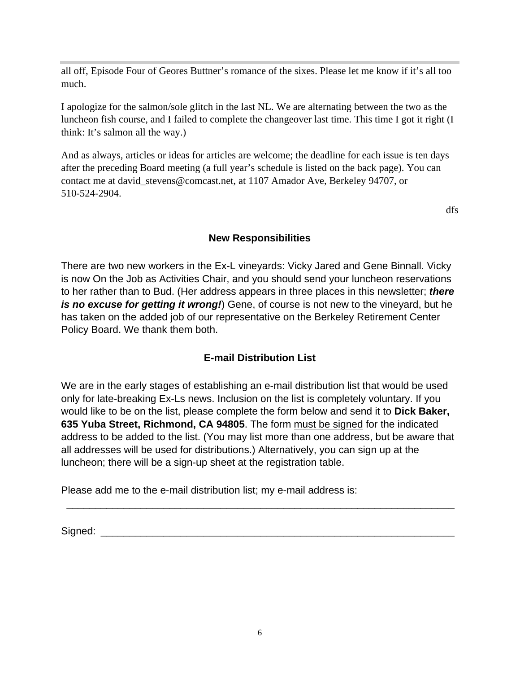all off, Episode Four of Geores Buttner's romance of the sixes. Please let me know if it's all too much.

I apologize for the salmon/sole glitch in the last NL. We are alternating between the two as the luncheon fish course, and I failed to complete the changeover last time. This time I got it right (I think: It's salmon all the way.)

And as always, articles or ideas for articles are welcome; the deadline for each issue is ten days after the preceding Board meeting (a full year's schedule is listed on the back page). You can contact me at david\_stevens@comcast.net, at 1107 Amador Ave, Berkeley 94707, or 510-524-2904.

dfs

## **New Responsibilities**

There are two new workers in the Ex-L vineyards: Vicky Jared and Gene Binnall. Vicky is now On the Job as Activities Chair, and you should send your luncheon reservations to her rather than to Bud. (Her address appears in three places in this newsletter; *there is no excuse for getting it wrong!*) Gene, of course is not new to the vineyard, but he has taken on the added job of our representative on the Berkeley Retirement Center Policy Board. We thank them both.

## **E-mail Distribution List**

We are in the early stages of establishing an e-mail distribution list that would be used only for late-breaking Ex-Ls news. Inclusion on the list is completely voluntary. If you would like to be on the list, please complete the form below and send it to **Dick Baker, 635 Yuba Street, Richmond, CA 94805**. The form must be signed for the indicated address to be added to the list. (You may list more than one address, but be aware that all addresses will be used for distributions.) Alternatively, you can sign up at the luncheon; there will be a sign-up sheet at the registration table.

\_\_\_\_\_\_\_\_\_\_\_\_\_\_\_\_\_\_\_\_\_\_\_\_\_\_\_\_\_\_\_\_\_\_\_\_\_\_\_\_\_\_\_\_\_\_\_\_\_\_\_\_\_\_\_\_\_\_\_\_\_\_\_\_\_\_\_\_

Please add me to the e-mail distribution list; my e-mail address is:

Signed:  $\Box$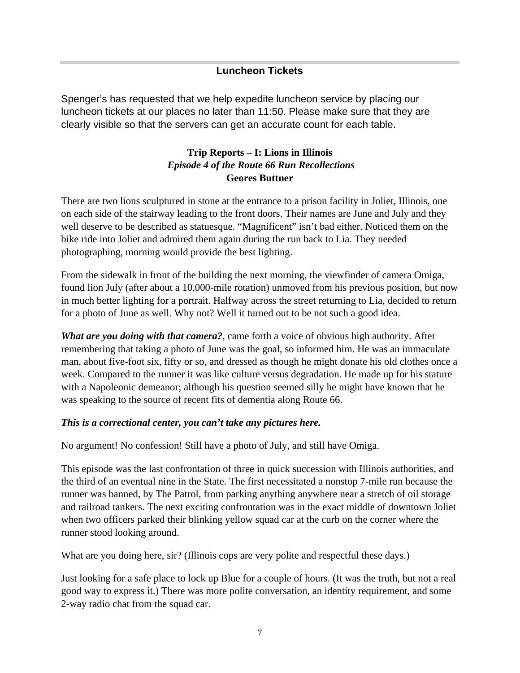#### **Luncheon Tickets**

Spenger's has requested that we help expedite luncheon service by placing our luncheon tickets at our places no later than 11:50. Please make sure that they are clearly visible so that the servers can get an accurate count for each table.

## **Trip Reports – I: Lions in Illinois**  *Episode 4 of the Route 66 Run Recollections* **Geores Buttner**

There are two lions sculptured in stone at the entrance to a prison facility in Joliet, Illinois, one on each side of the stairway leading to the front doors. Their names are June and July and they well deserve to be described as statuesque. "Magnificent" isn't bad either. Noticed them on the bike ride into Joliet and admired them again during the run back to Lia. They needed photographing, morning would provide the best lighting.

From the sidewalk in front of the building the next morning, the viewfinder of camera Omiga, found lion July (after about a 10,000-mile rotation) unmoved from his previous position, but now in much better lighting for a portrait. Halfway across the street returning to Lia, decided to return for a photo of June as well. Why not? Well it turned out to be not such a good idea.

*What are you doing with that camera?*, came forth a voice of obvious high authority. After remembering that taking a photo of June was the goal, so informed him. He was an immaculate man, about five-foot six, fifty or so, and dressed as though he might donate his old clothes once a week. Compared to the runner it was like culture versus degradation. He made up for his stature with a Napoleonic demeanor; although his question seemed silly he might have known that he was speaking to the source of recent fits of dementia along Route 66.

#### *This is a correctional center, you can't take any pictures here.*

No argument! No confession! Still have a photo of July, and still have Omiga.

This episode was the last confrontation of three in quick succession with Illinois authorities, and the third of an eventual nine in the State. The first necessitated a nonstop 7-mile run because the runner was banned, by The Patrol, from parking anything anywhere near a stretch of oil storage and railroad tankers. The next exciting confrontation was in the exact middle of downtown Joliet when two officers parked their blinking yellow squad car at the curb on the corner where the runner stood looking around.

What are you doing here, sir? (Illinois cops are very polite and respectful these days.)

Just looking for a safe place to lock up Blue for a couple of hours. (It was the truth, but not a real good way to express it.) There was more polite conversation, an identity requirement, and some 2-way radio chat from the squad car.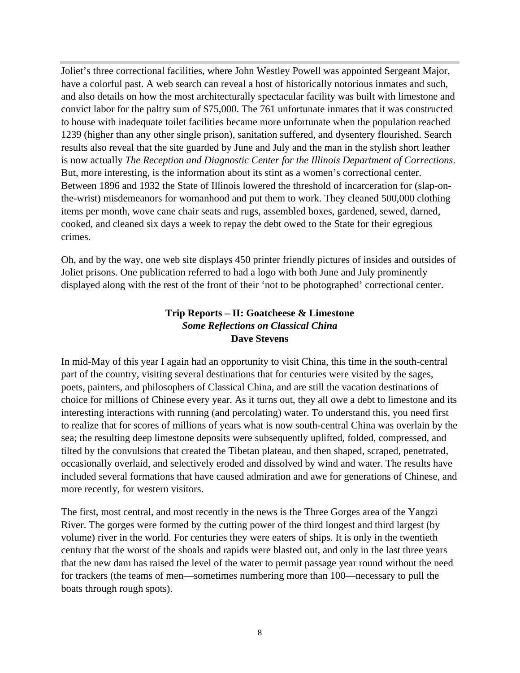Joliet's three correctional facilities, where John Westley Powell was appointed Sergeant Major, have a colorful past. A web search can reveal a host of historically notorious inmates and such, and also details on how the most architecturally spectacular facility was built with limestone and convict labor for the paltry sum of \$75,000. The 761 unfortunate inmates that it was constructed to house with inadequate toilet facilities became more unfortunate when the population reached 1239 (higher than any other single prison), sanitation suffered, and dysentery flourished. Search results also reveal that the site guarded by June and July and the man in the stylish short leather is now actually *The Reception and Diagnostic Center for the Illinois Department of Corrections*. But, more interesting, is the information about its stint as a women's correctional center. Between 1896 and 1932 the State of Illinois lowered the threshold of incarceration for (slap-onthe-wrist) misdemeanors for womanhood and put them to work. They cleaned 500,000 clothing items per month, wove cane chair seats and rugs, assembled boxes, gardened, sewed, darned, cooked, and cleaned six days a week to repay the debt owed to the State for their egregious crimes.

Oh, and by the way, one web site displays 450 printer friendly pictures of insides and outsides of Joliet prisons. One publication referred to had a logo with both June and July prominently displayed along with the rest of the front of their 'not to be photographed' correctional center.

## **Trip Reports – II: Goatcheese & Limestone** *Some Reflections on Classical China* **Dave Stevens**

In mid-May of this year I again had an opportunity to visit China, this time in the south-central part of the country, visiting several destinations that for centuries were visited by the sages, poets, painters, and philosophers of Classical China, and are still the vacation destinations of choice for millions of Chinese every year. As it turns out, they all owe a debt to limestone and its interesting interactions with running (and percolating) water. To understand this, you need first to realize that for scores of millions of years what is now south-central China was overlain by the sea; the resulting deep limestone deposits were subsequently uplifted, folded, compressed, and tilted by the convulsions that created the Tibetan plateau, and then shaped, scraped, penetrated, occasionally overlaid, and selectively eroded and dissolved by wind and water. The results have included several formations that have caused admiration and awe for generations of Chinese, and more recently, for western visitors.

The first, most central, and most recently in the news is the Three Gorges area of the Yangzi River. The gorges were formed by the cutting power of the third longest and third largest (by volume) river in the world. For centuries they were eaters of ships. It is only in the twentieth century that the worst of the shoals and rapids were blasted out, and only in the last three years that the new dam has raised the level of the water to permit passage year round without the need for trackers (the teams of men—sometimes numbering more than 100—necessary to pull the boats through rough spots).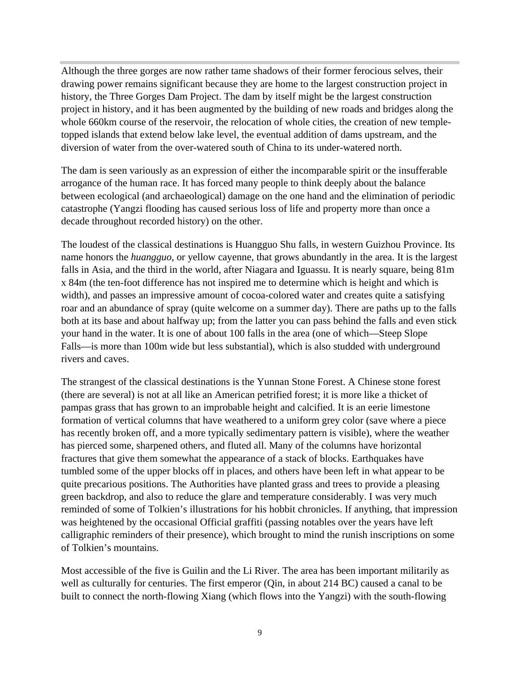Although the three gorges are now rather tame shadows of their former ferocious selves, their drawing power remains significant because they are home to the largest construction project in history, the Three Gorges Dam Project. The dam by itself might be the largest construction project in history, and it has been augmented by the building of new roads and bridges along the whole 660km course of the reservoir, the relocation of whole cities, the creation of new templetopped islands that extend below lake level, the eventual addition of dams upstream, and the diversion of water from the over-watered south of China to its under-watered north.

The dam is seen variously as an expression of either the incomparable spirit or the insufferable arrogance of the human race. It has forced many people to think deeply about the balance between ecological (and archaeological) damage on the one hand and the elimination of periodic catastrophe (Yangzi flooding has caused serious loss of life and property more than once a decade throughout recorded history) on the other.

The loudest of the classical destinations is Huangguo Shu falls, in western Guizhou Province. Its name honors the *huangguo*, or yellow cayenne, that grows abundantly in the area. It is the largest falls in Asia, and the third in the world, after Niagara and Iguassu. It is nearly square, being 81m x 84m (the ten-foot difference has not inspired me to determine which is height and which is width), and passes an impressive amount of cocoa-colored water and creates quite a satisfying roar and an abundance of spray (quite welcome on a summer day). There are paths up to the falls both at its base and about halfway up; from the latter you can pass behind the falls and even stick your hand in the water. It is one of about 100 falls in the area (one of which—Steep Slope Falls—is more than 100m wide but less substantial), which is also studded with underground rivers and caves.

The strangest of the classical destinations is the Yunnan Stone Forest. A Chinese stone forest (there are several) is not at all like an American petrified forest; it is more like a thicket of pampas grass that has grown to an improbable height and calcified. It is an eerie limestone formation of vertical columns that have weathered to a uniform grey color (save where a piece has recently broken off, and a more typically sedimentary pattern is visible), where the weather has pierced some, sharpened others, and fluted all. Many of the columns have horizontal fractures that give them somewhat the appearance of a stack of blocks. Earthquakes have tumbled some of the upper blocks off in places, and others have been left in what appear to be quite precarious positions. The Authorities have planted grass and trees to provide a pleasing green backdrop, and also to reduce the glare and temperature considerably. I was very much reminded of some of Tolkien's illustrations for his hobbit chronicles. If anything, that impression was heightened by the occasional Official graffiti (passing notables over the years have left calligraphic reminders of their presence), which brought to mind the runish inscriptions on some of Tolkien's mountains.

Most accessible of the five is Guilin and the Li River. The area has been important militarily as well as culturally for centuries. The first emperor (Qin, in about 214 BC) caused a canal to be built to connect the north-flowing Xiang (which flows into the Yangzi) with the south-flowing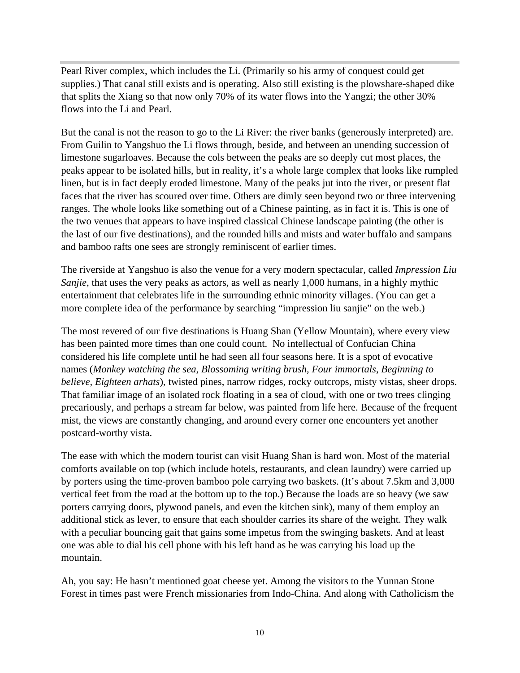Pearl River complex, which includes the Li. (Primarily so his army of conquest could get supplies.) That canal still exists and is operating. Also still existing is the plowshare-shaped dike that splits the Xiang so that now only 70% of its water flows into the Yangzi; the other 30% flows into the Li and Pearl.

But the canal is not the reason to go to the Li River: the river banks (generously interpreted) are. From Guilin to Yangshuo the Li flows through, beside, and between an unending succession of limestone sugarloaves. Because the cols between the peaks are so deeply cut most places, the peaks appear to be isolated hills, but in reality, it's a whole large complex that looks like rumpled linen, but is in fact deeply eroded limestone. Many of the peaks jut into the river, or present flat faces that the river has scoured over time. Others are dimly seen beyond two or three intervening ranges. The whole looks like something out of a Chinese painting, as in fact it is. This is one of the two venues that appears to have inspired classical Chinese landscape painting (the other is the last of our five destinations), and the rounded hills and mists and water buffalo and sampans and bamboo rafts one sees are strongly reminiscent of earlier times.

The riverside at Yangshuo is also the venue for a very modern spectacular, called *Impression Liu Sanjie*, that uses the very peaks as actors, as well as nearly 1,000 humans, in a highly mythic entertainment that celebrates life in the surrounding ethnic minority villages. (You can get a more complete idea of the performance by searching "impression liu sanjie" on the web.)

The most revered of our five destinations is Huang Shan (Yellow Mountain), where every view has been painted more times than one could count. No intellectual of Confucian China considered his life complete until he had seen all four seasons here. It is a spot of evocative names (*Monkey watching the sea*, *Blossoming writing brush, Four immortals*, *Beginning to believe, Eighteen arhats*), twisted pines, narrow ridges, rocky outcrops, misty vistas, sheer drops. That familiar image of an isolated rock floating in a sea of cloud, with one or two trees clinging precariously, and perhaps a stream far below, was painted from life here. Because of the frequent mist, the views are constantly changing, and around every corner one encounters yet another postcard-worthy vista.

The ease with which the modern tourist can visit Huang Shan is hard won. Most of the material comforts available on top (which include hotels, restaurants, and clean laundry) were carried up by porters using the time-proven bamboo pole carrying two baskets. (It's about 7.5km and 3,000 vertical feet from the road at the bottom up to the top.) Because the loads are so heavy (we saw porters carrying doors, plywood panels, and even the kitchen sink), many of them employ an additional stick as lever, to ensure that each shoulder carries its share of the weight. They walk with a peculiar bouncing gait that gains some impetus from the swinging baskets. And at least one was able to dial his cell phone with his left hand as he was carrying his load up the mountain.

Ah, you say: He hasn't mentioned goat cheese yet. Among the visitors to the Yunnan Stone Forest in times past were French missionaries from Indo-China. And along with Catholicism the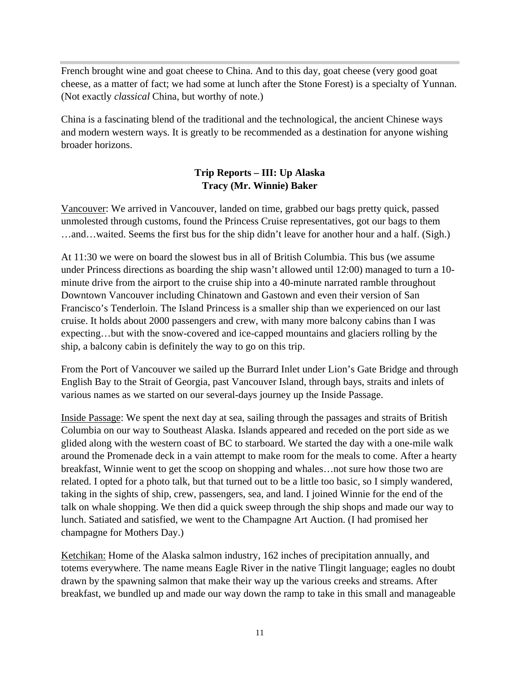French brought wine and goat cheese to China. And to this day, goat cheese (very good goat cheese, as a matter of fact; we had some at lunch after the Stone Forest) is a specialty of Yunnan. (Not exactly *classical* China, but worthy of note.)

China is a fascinating blend of the traditional and the technological, the ancient Chinese ways and modern western ways. It is greatly to be recommended as a destination for anyone wishing broader horizons.

## **Trip Reports – III: Up Alaska Tracy (Mr. Winnie) Baker**

Vancouver: We arrived in Vancouver, landed on time, grabbed our bags pretty quick, passed unmolested through customs, found the Princess Cruise representatives, got our bags to them …and…waited. Seems the first bus for the ship didn't leave for another hour and a half. (Sigh.)

At 11:30 we were on board the slowest bus in all of British Columbia. This bus (we assume under Princess directions as boarding the ship wasn't allowed until 12:00) managed to turn a 10 minute drive from the airport to the cruise ship into a 40-minute narrated ramble throughout Downtown Vancouver including Chinatown and Gastown and even their version of San Francisco's Tenderloin. The Island Princess is a smaller ship than we experienced on our last cruise. It holds about 2000 passengers and crew, with many more balcony cabins than I was expecting…but with the snow-covered and ice-capped mountains and glaciers rolling by the ship, a balcony cabin is definitely the way to go on this trip.

From the Port of Vancouver we sailed up the Burrard Inlet under Lion's Gate Bridge and through English Bay to the Strait of Georgia, past Vancouver Island, through bays, straits and inlets of various names as we started on our several-days journey up the Inside Passage.

Inside Passage: We spent the next day at sea, sailing through the passages and straits of British Columbia on our way to Southeast Alaska. Islands appeared and receded on the port side as we glided along with the western coast of BC to starboard. We started the day with a one-mile walk around the Promenade deck in a vain attempt to make room for the meals to come. After a hearty breakfast, Winnie went to get the scoop on shopping and whales…not sure how those two are related. I opted for a photo talk, but that turned out to be a little too basic, so I simply wandered, taking in the sights of ship, crew, passengers, sea, and land. I joined Winnie for the end of the talk on whale shopping. We then did a quick sweep through the ship shops and made our way to lunch. Satiated and satisfied, we went to the Champagne Art Auction. (I had promised her champagne for Mothers Day.)

Ketchikan: Home of the Alaska salmon industry, 162 inches of precipitation annually, and totems everywhere. The name means Eagle River in the native Tlingit language; eagles no doubt drawn by the spawning salmon that make their way up the various creeks and streams. After breakfast, we bundled up and made our way down the ramp to take in this small and manageable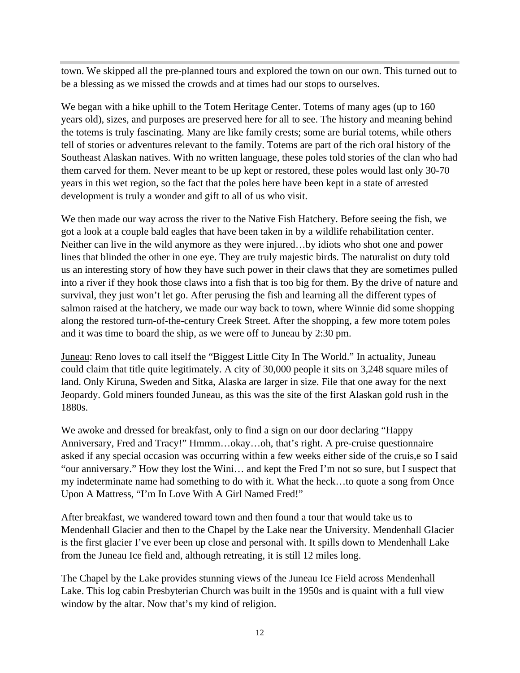town. We skipped all the pre-planned tours and explored the town on our own. This turned out to be a blessing as we missed the crowds and at times had our stops to ourselves.

We began with a hike uphill to the Totem Heritage Center. Totems of many ages (up to 160 years old), sizes, and purposes are preserved here for all to see. The history and meaning behind the totems is truly fascinating. Many are like family crests; some are burial totems, while others tell of stories or adventures relevant to the family. Totems are part of the rich oral history of the Southeast Alaskan natives. With no written language, these poles told stories of the clan who had them carved for them. Never meant to be up kept or restored, these poles would last only 30-70 years in this wet region, so the fact that the poles here have been kept in a state of arrested development is truly a wonder and gift to all of us who visit.

We then made our way across the river to the Native Fish Hatchery. Before seeing the fish, we got a look at a couple bald eagles that have been taken in by a wildlife rehabilitation center. Neither can live in the wild anymore as they were injured…by idiots who shot one and power lines that blinded the other in one eye. They are truly majestic birds. The naturalist on duty told us an interesting story of how they have such power in their claws that they are sometimes pulled into a river if they hook those claws into a fish that is too big for them. By the drive of nature and survival, they just won't let go. After perusing the fish and learning all the different types of salmon raised at the hatchery, we made our way back to town, where Winnie did some shopping along the restored turn-of-the-century Creek Street. After the shopping, a few more totem poles and it was time to board the ship, as we were off to Juneau by 2:30 pm.

Juneau: Reno loves to call itself the "Biggest Little City In The World." In actuality, Juneau could claim that title quite legitimately. A city of 30,000 people it sits on 3,248 square miles of land. Only Kiruna, Sweden and Sitka, Alaska are larger in size. File that one away for the next Jeopardy. Gold miners founded Juneau, as this was the site of the first Alaskan gold rush in the 1880s.

We awoke and dressed for breakfast, only to find a sign on our door declaring "Happy Anniversary, Fred and Tracy!" Hmmm…okay…oh, that's right. A pre-cruise questionnaire asked if any special occasion was occurring within a few weeks either side of the cruis,e so I said "our anniversary." How they lost the Wini… and kept the Fred I'm not so sure, but I suspect that my indeterminate name had something to do with it. What the heck…to quote a song from Once Upon A Mattress, "I'm In Love With A Girl Named Fred!"

After breakfast, we wandered toward town and then found a tour that would take us to Mendenhall Glacier and then to the Chapel by the Lake near the University. Mendenhall Glacier is the first glacier I've ever been up close and personal with. It spills down to Mendenhall Lake from the Juneau Ice field and, although retreating, it is still 12 miles long.

The Chapel by the Lake provides stunning views of the Juneau Ice Field across Mendenhall Lake. This log cabin Presbyterian Church was built in the 1950s and is quaint with a full view window by the altar. Now that's my kind of religion.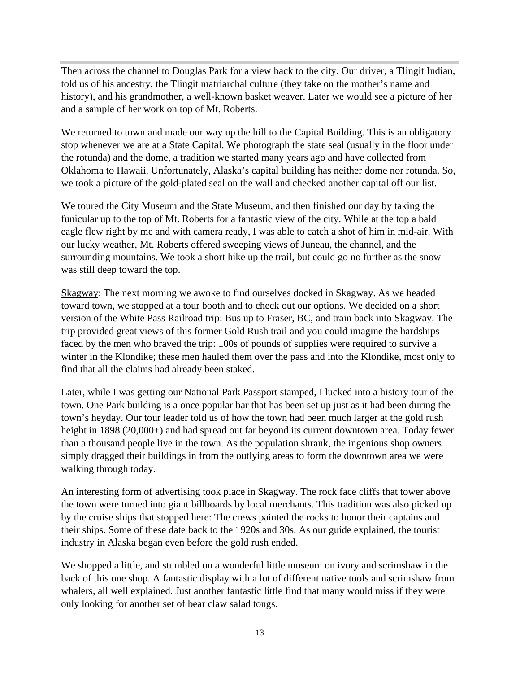Then across the channel to Douglas Park for a view back to the city. Our driver, a Tlingit Indian, told us of his ancestry, the Tlingit matriarchal culture (they take on the mother's name and history), and his grandmother, a well-known basket weaver. Later we would see a picture of her and a sample of her work on top of Mt. Roberts.

We returned to town and made our way up the hill to the Capital Building. This is an obligatory stop whenever we are at a State Capital. We photograph the state seal (usually in the floor under the rotunda) and the dome, a tradition we started many years ago and have collected from Oklahoma to Hawaii. Unfortunately, Alaska's capital building has neither dome nor rotunda. So, we took a picture of the gold-plated seal on the wall and checked another capital off our list.

We toured the City Museum and the State Museum, and then finished our day by taking the funicular up to the top of Mt. Roberts for a fantastic view of the city. While at the top a bald eagle flew right by me and with camera ready, I was able to catch a shot of him in mid-air. With our lucky weather, Mt. Roberts offered sweeping views of Juneau, the channel, and the surrounding mountains. We took a short hike up the trail, but could go no further as the snow was still deep toward the top.

Skagway: The next morning we awoke to find ourselves docked in Skagway. As we headed toward town, we stopped at a tour booth and to check out our options. We decided on a short version of the White Pass Railroad trip: Bus up to Fraser, BC, and train back into Skagway. The trip provided great views of this former Gold Rush trail and you could imagine the hardships faced by the men who braved the trip: 100s of pounds of supplies were required to survive a winter in the Klondike; these men hauled them over the pass and into the Klondike, most only to find that all the claims had already been staked.

Later, while I was getting our National Park Passport stamped, I lucked into a history tour of the town. One Park building is a once popular bar that has been set up just as it had been during the town's heyday. Our tour leader told us of how the town had been much larger at the gold rush height in 1898 (20,000+) and had spread out far beyond its current downtown area. Today fewer than a thousand people live in the town. As the population shrank, the ingenious shop owners simply dragged their buildings in from the outlying areas to form the downtown area we were walking through today.

An interesting form of advertising took place in Skagway. The rock face cliffs that tower above the town were turned into giant billboards by local merchants. This tradition was also picked up by the cruise ships that stopped here: The crews painted the rocks to honor their captains and their ships. Some of these date back to the 1920s and 30s. As our guide explained, the tourist industry in Alaska began even before the gold rush ended.

We shopped a little, and stumbled on a wonderful little museum on ivory and scrimshaw in the back of this one shop. A fantastic display with a lot of different native tools and scrimshaw from whalers, all well explained. Just another fantastic little find that many would miss if they were only looking for another set of bear claw salad tongs.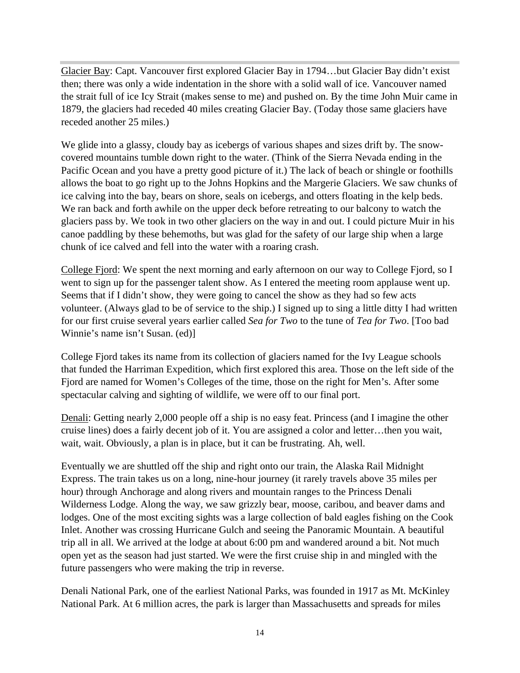Glacier Bay: Capt. Vancouver first explored Glacier Bay in 1794…but Glacier Bay didn't exist then; there was only a wide indentation in the shore with a solid wall of ice. Vancouver named the strait full of ice Icy Strait (makes sense to me) and pushed on. By the time John Muir came in 1879, the glaciers had receded 40 miles creating Glacier Bay. (Today those same glaciers have receded another 25 miles.)

We glide into a glassy, cloudy bay as icebergs of various shapes and sizes drift by. The snowcovered mountains tumble down right to the water. (Think of the Sierra Nevada ending in the Pacific Ocean and you have a pretty good picture of it.) The lack of beach or shingle or foothills allows the boat to go right up to the Johns Hopkins and the Margerie Glaciers. We saw chunks of ice calving into the bay, bears on shore, seals on icebergs, and otters floating in the kelp beds. We ran back and forth awhile on the upper deck before retreating to our balcony to watch the glaciers pass by. We took in two other glaciers on the way in and out. I could picture Muir in his canoe paddling by these behemoths, but was glad for the safety of our large ship when a large chunk of ice calved and fell into the water with a roaring crash.

College Fjord: We spent the next morning and early afternoon on our way to College Fjord, so I went to sign up for the passenger talent show. As I entered the meeting room applause went up. Seems that if I didn't show, they were going to cancel the show as they had so few acts volunteer. (Always glad to be of service to the ship.) I signed up to sing a little ditty I had written for our first cruise several years earlier called *Sea for Two* to the tune of *Tea for Two*. [Too bad Winnie's name isn't Susan. (ed)]

College Fjord takes its name from its collection of glaciers named for the Ivy League schools that funded the Harriman Expedition, which first explored this area. Those on the left side of the Fjord are named for Women's Colleges of the time, those on the right for Men's. After some spectacular calving and sighting of wildlife, we were off to our final port.

Denali: Getting nearly 2,000 people off a ship is no easy feat. Princess (and I imagine the other cruise lines) does a fairly decent job of it. You are assigned a color and letter…then you wait, wait, wait. Obviously, a plan is in place, but it can be frustrating. Ah, well.

Eventually we are shuttled off the ship and right onto our train, the Alaska Rail Midnight Express. The train takes us on a long, nine-hour journey (it rarely travels above 35 miles per hour) through Anchorage and along rivers and mountain ranges to the Princess Denali Wilderness Lodge. Along the way, we saw grizzly bear, moose, caribou, and beaver dams and lodges. One of the most exciting sights was a large collection of bald eagles fishing on the Cook Inlet. Another was crossing Hurricane Gulch and seeing the Panoramic Mountain. A beautiful trip all in all. We arrived at the lodge at about 6:00 pm and wandered around a bit. Not much open yet as the season had just started. We were the first cruise ship in and mingled with the future passengers who were making the trip in reverse.

Denali National Park, one of the earliest National Parks, was founded in 1917 as Mt. McKinley National Park. At 6 million acres, the park is larger than Massachusetts and spreads for miles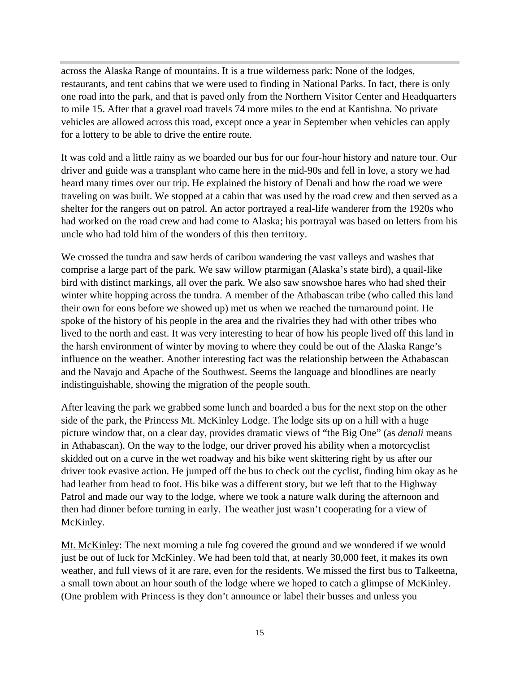across the Alaska Range of mountains. It is a true wilderness park: None of the lodges, restaurants, and tent cabins that we were used to finding in National Parks. In fact, there is only one road into the park, and that is paved only from the Northern Visitor Center and Headquarters to mile 15. After that a gravel road travels 74 more miles to the end at Kantishna. No private vehicles are allowed across this road, except once a year in September when vehicles can apply for a lottery to be able to drive the entire route.

It was cold and a little rainy as we boarded our bus for our four-hour history and nature tour. Our driver and guide was a transplant who came here in the mid-90s and fell in love, a story we had heard many times over our trip. He explained the history of Denali and how the road we were traveling on was built. We stopped at a cabin that was used by the road crew and then served as a shelter for the rangers out on patrol. An actor portrayed a real-life wanderer from the 1920s who had worked on the road crew and had come to Alaska; his portrayal was based on letters from his uncle who had told him of the wonders of this then territory.

We crossed the tundra and saw herds of caribou wandering the vast valleys and washes that comprise a large part of the park. We saw willow ptarmigan (Alaska's state bird), a quail-like bird with distinct markings, all over the park. We also saw snowshoe hares who had shed their winter white hopping across the tundra. A member of the Athabascan tribe (who called this land their own for eons before we showed up) met us when we reached the turnaround point. He spoke of the history of his people in the area and the rivalries they had with other tribes who lived to the north and east. It was very interesting to hear of how his people lived off this land in the harsh environment of winter by moving to where they could be out of the Alaska Range's influence on the weather. Another interesting fact was the relationship between the Athabascan and the Navajo and Apache of the Southwest. Seems the language and bloodlines are nearly indistinguishable, showing the migration of the people south.

After leaving the park we grabbed some lunch and boarded a bus for the next stop on the other side of the park, the Princess Mt. McKinley Lodge. The lodge sits up on a hill with a huge picture window that, on a clear day, provides dramatic views of "the Big One" (as *denali* means in Athabascan). On the way to the lodge, our driver proved his ability when a motorcyclist skidded out on a curve in the wet roadway and his bike went skittering right by us after our driver took evasive action. He jumped off the bus to check out the cyclist, finding him okay as he had leather from head to foot. His bike was a different story, but we left that to the Highway Patrol and made our way to the lodge, where we took a nature walk during the afternoon and then had dinner before turning in early. The weather just wasn't cooperating for a view of McKinley.

Mt. McKinley: The next morning a tule fog covered the ground and we wondered if we would just be out of luck for McKinley. We had been told that, at nearly 30,000 feet, it makes its own weather, and full views of it are rare, even for the residents. We missed the first bus to Talkeetna, a small town about an hour south of the lodge where we hoped to catch a glimpse of McKinley. (One problem with Princess is they don't announce or label their busses and unless you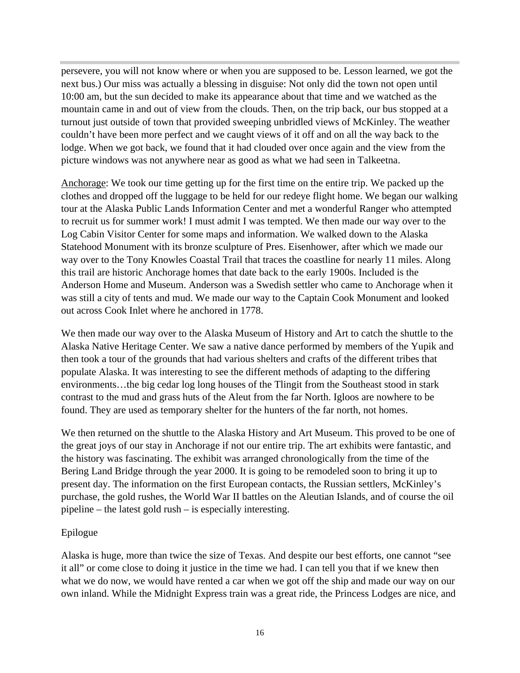persevere, you will not know where or when you are supposed to be. Lesson learned, we got the next bus.) Our miss was actually a blessing in disguise: Not only did the town not open until 10:00 am, but the sun decided to make its appearance about that time and we watched as the mountain came in and out of view from the clouds. Then, on the trip back, our bus stopped at a turnout just outside of town that provided sweeping unbridled views of McKinley. The weather couldn't have been more perfect and we caught views of it off and on all the way back to the lodge. When we got back, we found that it had clouded over once again and the view from the picture windows was not anywhere near as good as what we had seen in Talkeetna.

Anchorage: We took our time getting up for the first time on the entire trip. We packed up the clothes and dropped off the luggage to be held for our redeye flight home. We began our walking tour at the Alaska Public Lands Information Center and met a wonderful Ranger who attempted to recruit us for summer work! I must admit I was tempted. We then made our way over to the Log Cabin Visitor Center for some maps and information. We walked down to the Alaska Statehood Monument with its bronze sculpture of Pres. Eisenhower, after which we made our way over to the Tony Knowles Coastal Trail that traces the coastline for nearly 11 miles. Along this trail are historic Anchorage homes that date back to the early 1900s. Included is the Anderson Home and Museum. Anderson was a Swedish settler who came to Anchorage when it was still a city of tents and mud. We made our way to the Captain Cook Monument and looked out across Cook Inlet where he anchored in 1778.

We then made our way over to the Alaska Museum of History and Art to catch the shuttle to the Alaska Native Heritage Center. We saw a native dance performed by members of the Yupik and then took a tour of the grounds that had various shelters and crafts of the different tribes that populate Alaska. It was interesting to see the different methods of adapting to the differing environments…the big cedar log long houses of the Tlingit from the Southeast stood in stark contrast to the mud and grass huts of the Aleut from the far North. Igloos are nowhere to be found. They are used as temporary shelter for the hunters of the far north, not homes.

We then returned on the shuttle to the Alaska History and Art Museum. This proved to be one of the great joys of our stay in Anchorage if not our entire trip. The art exhibits were fantastic, and the history was fascinating. The exhibit was arranged chronologically from the time of the Bering Land Bridge through the year 2000. It is going to be remodeled soon to bring it up to present day. The information on the first European contacts, the Russian settlers, McKinley's purchase, the gold rushes, the World War II battles on the Aleutian Islands, and of course the oil pipeline – the latest gold rush – is especially interesting.

#### Epilogue

Alaska is huge, more than twice the size of Texas. And despite our best efforts, one cannot "see it all" or come close to doing it justice in the time we had. I can tell you that if we knew then what we do now, we would have rented a car when we got off the ship and made our way on our own inland. While the Midnight Express train was a great ride, the Princess Lodges are nice, and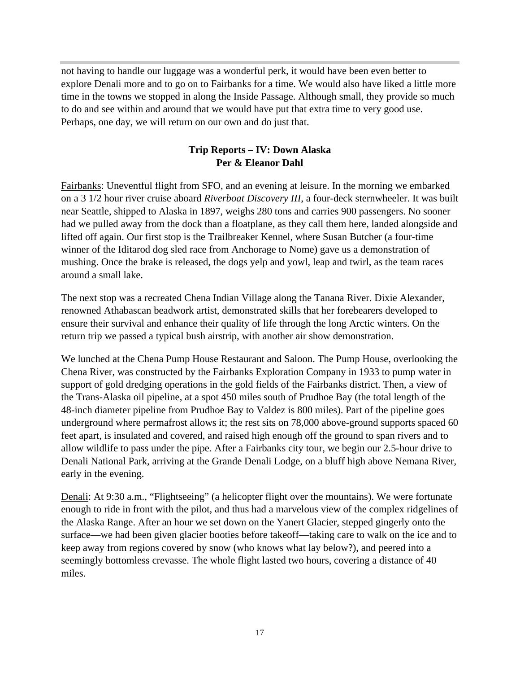not having to handle our luggage was a wonderful perk, it would have been even better to explore Denali more and to go on to Fairbanks for a time. We would also have liked a little more time in the towns we stopped in along the Inside Passage. Although small, they provide so much to do and see within and around that we would have put that extra time to very good use. Perhaps, one day, we will return on our own and do just that.

## **Trip Reports – IV: Down Alaska Per & Eleanor Dahl**

Fairbanks: Uneventful flight from SFO, and an evening at leisure. In the morning we embarked on a 3 1/2 hour river cruise aboard *Riverboat Discovery III*, a four-deck sternwheeler. It was built near Seattle, shipped to Alaska in 1897, weighs 280 tons and carries 900 passengers. No sooner had we pulled away from the dock than a floatplane, as they call them here, landed alongside and lifted off again. Our first stop is the Trailbreaker Kennel, where Susan Butcher (a four-time winner of the Iditarod dog sled race from Anchorage to Nome) gave us a demonstration of mushing. Once the brake is released, the dogs yelp and yowl, leap and twirl, as the team races around a small lake.

The next stop was a recreated Chena Indian Village along the Tanana River. Dixie Alexander, renowned Athabascan beadwork artist, demonstrated skills that her forebearers developed to ensure their survival and enhance their quality of life through the long Arctic winters. On the return trip we passed a typical bush airstrip, with another air show demonstration.

We lunched at the Chena Pump House Restaurant and Saloon. The Pump House, overlooking the Chena River, was constructed by the Fairbanks Exploration Company in 1933 to pump water in support of gold dredging operations in the gold fields of the Fairbanks district. Then, a view of the Trans-Alaska oil pipeline, at a spot 450 miles south of Prudhoe Bay (the total length of the 48-inch diameter pipeline from Prudhoe Bay to Valdez is 800 miles). Part of the pipeline goes underground where permafrost allows it; the rest sits on 78,000 above-ground supports spaced 60 feet apart, is insulated and covered, and raised high enough off the ground to span rivers and to allow wildlife to pass under the pipe. After a Fairbanks city tour, we begin our 2.5-hour drive to Denali National Park, arriving at the Grande Denali Lodge, on a bluff high above Nemana River, early in the evening.

Denali: At 9:30 a.m., "Flightseeing" (a helicopter flight over the mountains). We were fortunate enough to ride in front with the pilot, and thus had a marvelous view of the complex ridgelines of the Alaska Range. After an hour we set down on the Yanert Glacier, stepped gingerly onto the surface—we had been given glacier booties before takeoff—taking care to walk on the ice and to keep away from regions covered by snow (who knows what lay below?), and peered into a seemingly bottomless crevasse. The whole flight lasted two hours, covering a distance of 40 miles.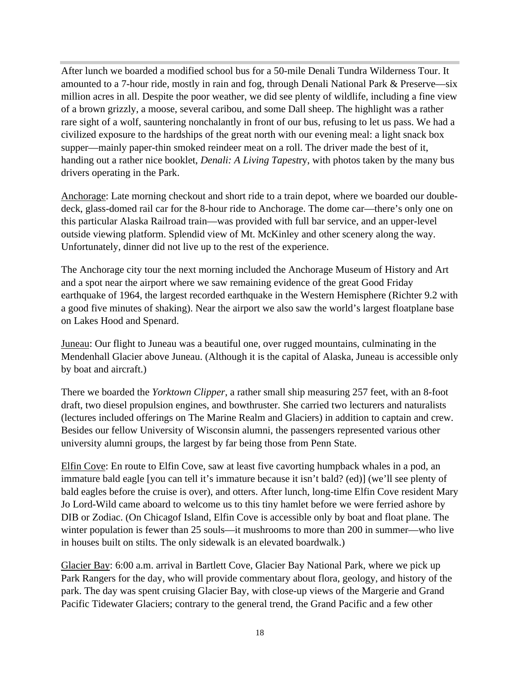After lunch we boarded a modified school bus for a 50-mile Denali Tundra Wilderness Tour. It amounted to a 7-hour ride, mostly in rain and fog, through Denali National Park & Preserve—six million acres in all. Despite the poor weather, we did see plenty of wildlife, including a fine view of a brown grizzly, a moose, several caribou, and some Dall sheep. The highlight was a rather rare sight of a wolf, sauntering nonchalantly in front of our bus, refusing to let us pass. We had a civilized exposure to the hardships of the great north with our evening meal: a light snack box supper—mainly paper-thin smoked reindeer meat on a roll. The driver made the best of it, handing out a rather nice booklet, *Denali: A Living Tapest*ry, with photos taken by the many bus drivers operating in the Park.

Anchorage: Late morning checkout and short ride to a train depot, where we boarded our doubledeck, glass-domed rail car for the 8-hour ride to Anchorage. The dome car—there's only one on this particular Alaska Railroad train—was provided with full bar service, and an upper-level outside viewing platform. Splendid view of Mt. McKinley and other scenery along the way. Unfortunately, dinner did not live up to the rest of the experience.

The Anchorage city tour the next morning included the Anchorage Museum of History and Art and a spot near the airport where we saw remaining evidence of the great Good Friday earthquake of 1964, the largest recorded earthquake in the Western Hemisphere (Richter 9.2 with a good five minutes of shaking). Near the airport we also saw the world's largest floatplane base on Lakes Hood and Spenard.

Juneau: Our flight to Juneau was a beautiful one, over rugged mountains, culminating in the Mendenhall Glacier above Juneau. (Although it is the capital of Alaska, Juneau is accessible only by boat and aircraft.)

There we boarded the *Yorktown Clipper*, a rather small ship measuring 257 feet, with an 8-foot draft, two diesel propulsion engines, and bowthruster. She carried two lecturers and naturalists (lectures included offerings on The Marine Realm and Glaciers) in addition to captain and crew. Besides our fellow University of Wisconsin alumni, the passengers represented various other university alumni groups, the largest by far being those from Penn State.

Elfin Cove: En route to Elfin Cove, saw at least five cavorting humpback whales in a pod, an immature bald eagle [you can tell it's immature because it isn't bald? (ed)] (we'll see plenty of bald eagles before the cruise is over), and otters. After lunch, long-time Elfin Cove resident Mary Jo Lord-Wild came aboard to welcome us to this tiny hamlet before we were ferried ashore by DIB or Zodiac. (On Chicagof Island, Elfin Cove is accessible only by boat and float plane. The winter population is fewer than 25 souls—it mushrooms to more than 200 in summer—who live in houses built on stilts. The only sidewalk is an elevated boardwalk.)

Glacier Bay: 6:00 a.m. arrival in Bartlett Cove, Glacier Bay National Park, where we pick up Park Rangers for the day, who will provide commentary about flora, geology, and history of the park. The day was spent cruising Glacier Bay, with close-up views of the Margerie and Grand Pacific Tidewater Glaciers; contrary to the general trend, the Grand Pacific and a few other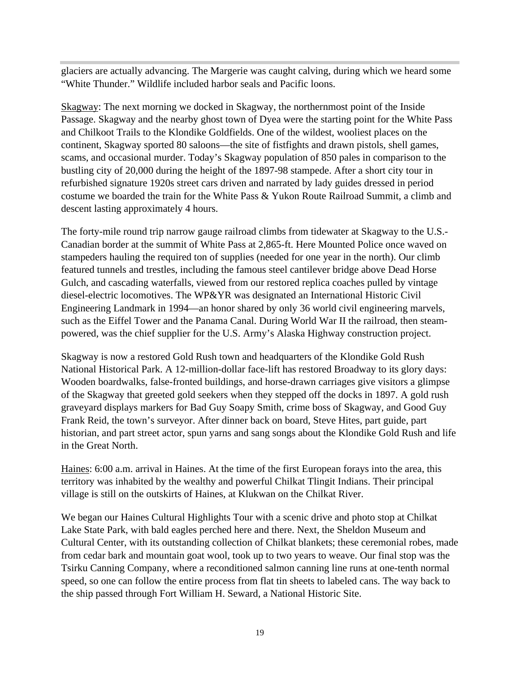glaciers are actually advancing. The Margerie was caught calving, during which we heard some "White Thunder." Wildlife included harbor seals and Pacific loons.

Skagway: The next morning we docked in Skagway, the northernmost point of the Inside Passage. Skagway and the nearby ghost town of Dyea were the starting point for the White Pass and Chilkoot Trails to the Klondike Goldfields. One of the wildest, wooliest places on the continent, Skagway sported 80 saloons—the site of fistfights and drawn pistols, shell games, scams, and occasional murder. Today's Skagway population of 850 pales in comparison to the bustling city of 20,000 during the height of the 1897-98 stampede. After a short city tour in refurbished signature 1920s street cars driven and narrated by lady guides dressed in period costume we boarded the train for the White Pass & Yukon Route Railroad Summit, a climb and descent lasting approximately 4 hours.

The forty-mile round trip narrow gauge railroad climbs from tidewater at Skagway to the U.S.- Canadian border at the summit of White Pass at 2,865-ft. Here Mounted Police once waved on stampeders hauling the required ton of supplies (needed for one year in the north). Our climb featured tunnels and trestles, including the famous steel cantilever bridge above Dead Horse Gulch, and cascading waterfalls, viewed from our restored replica coaches pulled by vintage diesel-electric locomotives. The WP&YR was designated an International Historic Civil Engineering Landmark in 1994—an honor shared by only 36 world civil engineering marvels, such as the Eiffel Tower and the Panama Canal. During World War II the railroad, then steampowered, was the chief supplier for the U.S. Army's Alaska Highway construction project.

Skagway is now a restored Gold Rush town and headquarters of the Klondike Gold Rush National Historical Park. A 12-million-dollar face-lift has restored Broadway to its glory days: Wooden boardwalks, false-fronted buildings, and horse-drawn carriages give visitors a glimpse of the Skagway that greeted gold seekers when they stepped off the docks in 1897. A gold rush graveyard displays markers for Bad Guy Soapy Smith, crime boss of Skagway, and Good Guy Frank Reid, the town's surveyor. After dinner back on board, Steve Hites, part guide, part historian, and part street actor, spun yarns and sang songs about the Klondike Gold Rush and life in the Great North.

Haines: 6:00 a.m. arrival in Haines. At the time of the first European forays into the area, this territory was inhabited by the wealthy and powerful Chilkat Tlingit Indians. Their principal village is still on the outskirts of Haines, at Klukwan on the Chilkat River.

We began our Haines Cultural Highlights Tour with a scenic drive and photo stop at Chilkat Lake State Park, with bald eagles perched here and there. Next, the Sheldon Museum and Cultural Center, with its outstanding collection of Chilkat blankets; these ceremonial robes, made from cedar bark and mountain goat wool, took up to two years to weave. Our final stop was the Tsirku Canning Company, where a reconditioned salmon canning line runs at one-tenth normal speed, so one can follow the entire process from flat tin sheets to labeled cans. The way back to the ship passed through Fort William H. Seward, a National Historic Site.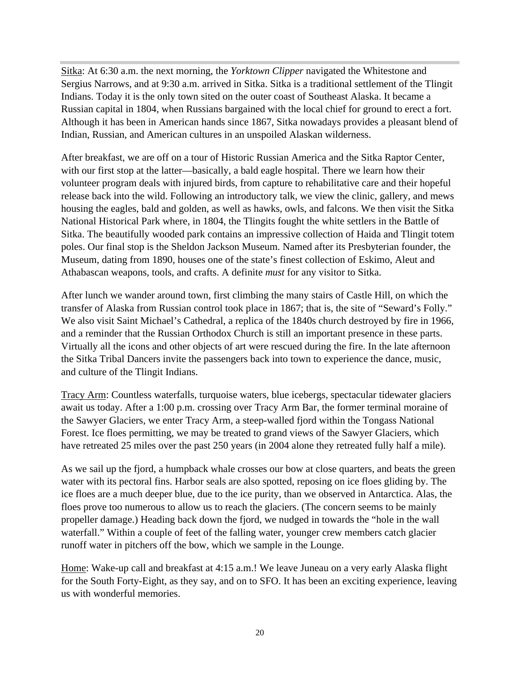Sitka: At 6:30 a.m. the next morning, the *Yorktown Clipper* navigated the Whitestone and Sergius Narrows, and at 9:30 a.m. arrived in Sitka. Sitka is a traditional settlement of the Tlingit Indians. Today it is the only town sited on the outer coast of Southeast Alaska. It became a Russian capital in 1804, when Russians bargained with the local chief for ground to erect a fort. Although it has been in American hands since 1867, Sitka nowadays provides a pleasant blend of Indian, Russian, and American cultures in an unspoiled Alaskan wilderness.

After breakfast, we are off on a tour of Historic Russian America and the Sitka Raptor Center, with our first stop at the latter—basically, a bald eagle hospital. There we learn how their volunteer program deals with injured birds, from capture to rehabilitative care and their hopeful release back into the wild. Following an introductory talk, we view the clinic, gallery, and mews housing the eagles, bald and golden, as well as hawks, owls, and falcons. We then visit the Sitka National Historical Park where, in 1804, the Tlingits fought the white settlers in the Battle of Sitka. The beautifully wooded park contains an impressive collection of Haida and Tlingit totem poles. Our final stop is the Sheldon Jackson Museum. Named after its Presbyterian founder, the Museum, dating from 1890, houses one of the state's finest collection of Eskimo, Aleut and Athabascan weapons, tools, and crafts. A definite *must* for any visitor to Sitka.

After lunch we wander around town, first climbing the many stairs of Castle Hill, on which the transfer of Alaska from Russian control took place in 1867; that is, the site of "Seward's Folly." We also visit Saint Michael's Cathedral, a replica of the 1840s church destroyed by fire in 1966, and a reminder that the Russian Orthodox Church is still an important presence in these parts. Virtually all the icons and other objects of art were rescued during the fire. In the late afternoon the Sitka Tribal Dancers invite the passengers back into town to experience the dance, music, and culture of the Tlingit Indians.

Tracy Arm: Countless waterfalls, turquoise waters, blue icebergs, spectacular tidewater glaciers await us today. After a 1:00 p.m. crossing over Tracy Arm Bar, the former terminal moraine of the Sawyer Glaciers, we enter Tracy Arm, a steep-walled fjord within the Tongass National Forest. Ice floes permitting, we may be treated to grand views of the Sawyer Glaciers, which have retreated 25 miles over the past 250 years (in 2004 alone they retreated fully half a mile).

As we sail up the fjord, a humpback whale crosses our bow at close quarters, and beats the green water with its pectoral fins. Harbor seals are also spotted, reposing on ice floes gliding by. The ice floes are a much deeper blue, due to the ice purity, than we observed in Antarctica. Alas, the floes prove too numerous to allow us to reach the glaciers. (The concern seems to be mainly propeller damage.) Heading back down the fjord, we nudged in towards the "hole in the wall waterfall." Within a couple of feet of the falling water, younger crew members catch glacier runoff water in pitchers off the bow, which we sample in the Lounge.

Home: Wake-up call and breakfast at 4:15 a.m.! We leave Juneau on a very early Alaska flight for the South Forty-Eight, as they say, and on to SFO. It has been an exciting experience, leaving us with wonderful memories.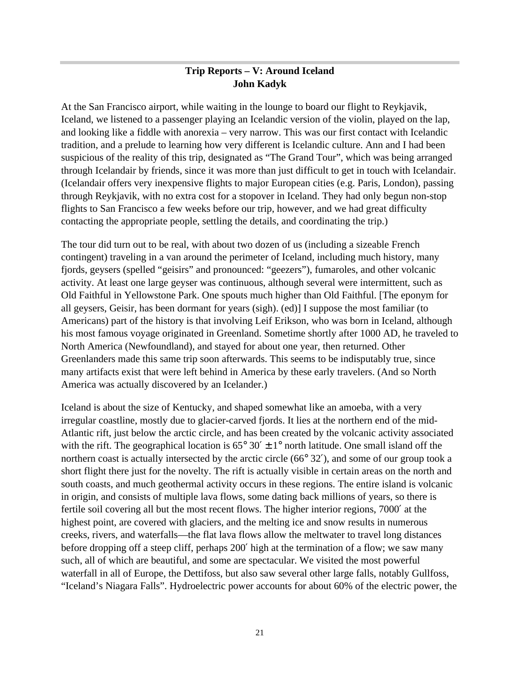## **Trip Reports – V: Around Iceland John Kadyk**

At the San Francisco airport, while waiting in the lounge to board our flight to Reykjavik, Iceland, we listened to a passenger playing an Icelandic version of the violin, played on the lap, and looking like a fiddle with anorexia – very narrow. This was our first contact with Icelandic tradition, and a prelude to learning how very different is Icelandic culture. Ann and I had been suspicious of the reality of this trip, designated as "The Grand Tour", which was being arranged through Icelandair by friends, since it was more than just difficult to get in touch with Icelandair. (Icelandair offers very inexpensive flights to major European cities (e.g. Paris, London), passing through Reykjavik, with no extra cost for a stopover in Iceland. They had only begun non-stop flights to San Francisco a few weeks before our trip, however, and we had great difficulty contacting the appropriate people, settling the details, and coordinating the trip.)

The tour did turn out to be real, with about two dozen of us (including a sizeable French contingent) traveling in a van around the perimeter of Iceland, including much history, many fjords, geysers (spelled "geisirs" and pronounced: "geezers"), fumaroles, and other volcanic activity. At least one large geyser was continuous, although several were intermittent, such as Old Faithful in Yellowstone Park. One spouts much higher than Old Faithful. [The eponym for all geysers, Geisir, has been dormant for years (sigh). (ed)] I suppose the most familiar (to Americans) part of the history is that involving Leif Erikson, who was born in Iceland, although his most famous voyage originated in Greenland. Sometime shortly after 1000 AD, he traveled to North America (Newfoundland), and stayed for about one year, then returned. Other Greenlanders made this same trip soon afterwards. This seems to be indisputably true, since many artifacts exist that were left behind in America by these early travelers. (And so North America was actually discovered by an Icelander.)

Iceland is about the size of Kentucky, and shaped somewhat like an amoeba, with a very irregular coastline, mostly due to glacier-carved fjords. It lies at the northern end of the mid-Atlantic rift, just below the arctic circle, and has been created by the volcanic activity associated with the rift. The geographical location is  $65^{\circ}$  30'  $\pm$  1° north latitude. One small island off the northern coast is actually intersected by the arctic circle (66° 32′), and some of our group took a short flight there just for the novelty. The rift is actually visible in certain areas on the north and south coasts, and much geothermal activity occurs in these regions. The entire island is volcanic in origin, and consists of multiple lava flows, some dating back millions of years, so there is fertile soil covering all but the most recent flows. The higher interior regions, 7000′ at the highest point, are covered with glaciers, and the melting ice and snow results in numerous creeks, rivers, and waterfalls—the flat lava flows allow the meltwater to travel long distances before dropping off a steep cliff, perhaps 200′ high at the termination of a flow; we saw many such, all of which are beautiful, and some are spectacular. We visited the most powerful waterfall in all of Europe, the Dettifoss, but also saw several other large falls, notably Gullfoss, "Iceland's Niagara Falls". Hydroelectric power accounts for about 60% of the electric power, the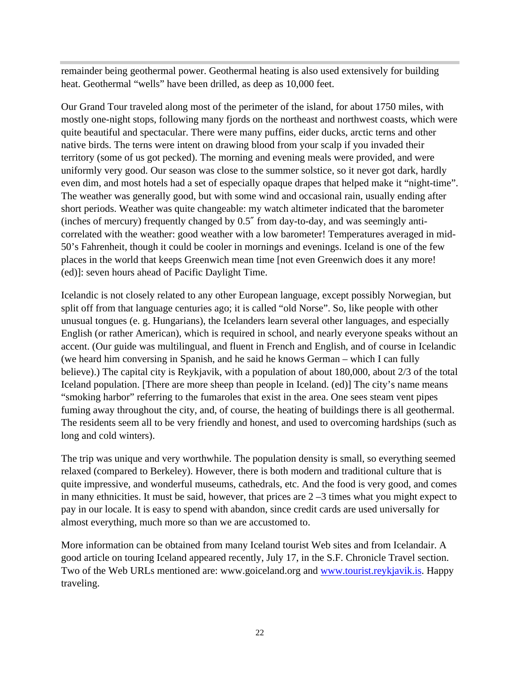remainder being geothermal power. Geothermal heating is also used extensively for building heat. Geothermal "wells" have been drilled, as deep as 10,000 feet.

Our Grand Tour traveled along most of the perimeter of the island, for about 1750 miles, with mostly one-night stops, following many fjords on the northeast and northwest coasts, which were quite beautiful and spectacular. There were many puffins, eider ducks, arctic terns and other native birds. The terns were intent on drawing blood from your scalp if you invaded their territory (some of us got pecked). The morning and evening meals were provided, and were uniformly very good. Our season was close to the summer solstice, so it never got dark, hardly even dim, and most hotels had a set of especially opaque drapes that helped make it "night-time". The weather was generally good, but with some wind and occasional rain, usually ending after short periods. Weather was quite changeable: my watch altimeter indicated that the barometer (inches of mercury) frequently changed by 0.5″ from day-to-day, and was seemingly anticorrelated with the weather: good weather with a low barometer! Temperatures averaged in mid-50's Fahrenheit, though it could be cooler in mornings and evenings. Iceland is one of the few places in the world that keeps Greenwich mean time [not even Greenwich does it any more! (ed)]: seven hours ahead of Pacific Daylight Time.

Icelandic is not closely related to any other European language, except possibly Norwegian, but split off from that language centuries ago; it is called "old Norse". So, like people with other unusual tongues (e. g. Hungarians), the Icelanders learn several other languages, and especially English (or rather American), which is required in school, and nearly everyone speaks without an accent. (Our guide was multilingual, and fluent in French and English, and of course in Icelandic (we heard him conversing in Spanish, and he said he knows German – which I can fully believe).) The capital city is Reykjavik, with a population of about 180,000, about 2/3 of the total Iceland population. [There are more sheep than people in Iceland. (ed)] The city's name means "smoking harbor" referring to the fumaroles that exist in the area. One sees steam vent pipes fuming away throughout the city, and, of course, the heating of buildings there is all geothermal. The residents seem all to be very friendly and honest, and used to overcoming hardships (such as long and cold winters).

The trip was unique and very worthwhile. The population density is small, so everything seemed relaxed (compared to Berkeley). However, there is both modern and traditional culture that is quite impressive, and wonderful museums, cathedrals, etc. And the food is very good, and comes in many ethnicities. It must be said, however, that prices are  $2 - 3$  times what you might expect to pay in our locale. It is easy to spend with abandon, since credit cards are used universally for almost everything, much more so than we are accustomed to.

More information can be obtained from many Iceland tourist Web sites and from Icelandair. A good article on touring Iceland appeared recently, July 17, in the S.F. Chronicle Travel section. Two of the Web URLs mentioned are: www.goiceland.org and www.tourist.reykjavik.is. Happy traveling.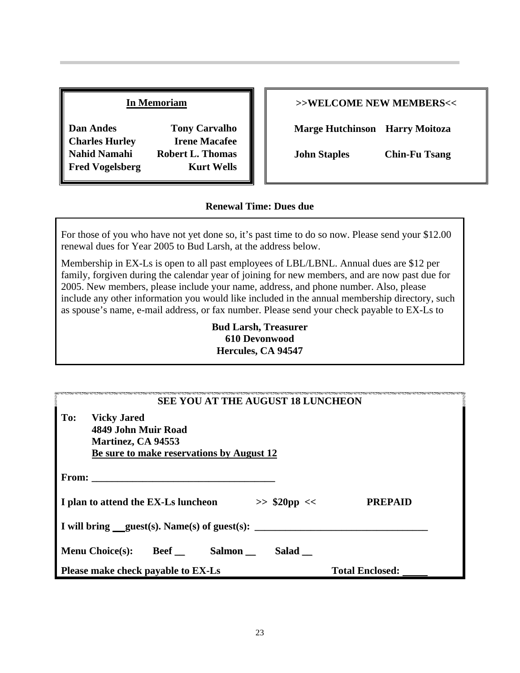#### **In Memoriam**

**Dan Andes Tony Carvalho Charles Hurley Irene Macafee Nahid Namahi Robert L. Thomas Fred Vogelsberg Kurt Wells**

#### **>>WELCOME NEW MEMBERS<<**

**Marge Hutchinson Harry Moitoza**

**John Staples Chin-Fu Tsang**

#### **Renewal Time: Dues due**

For those of you who have not yet done so, it's past time to do so now. Please send your \$12.00 renewal dues for Year 2005 to Bud Larsh, at the address below.

Membership in EX-Ls is open to all past employees of LBL/LBNL. Annual dues are \$12 per family, forgiven during the calendar year of joining for new members, and are now past due for 2005. New members, please include your name, address, and phone number. Also, please include any other information you would like included in the annual membership directory, such as spouse's name, e-mail address, or fax number. Please send your check payable to EX-Ls to

> **Bud Larsh, Treasurer 610 Devonwood Hercules, CA 94547**

| <b>SEE YOU AT THE AUGUST 18 LUNCHEON</b>                                                                            |                        |  |  |  |
|---------------------------------------------------------------------------------------------------------------------|------------------------|--|--|--|
| To:<br><b>Vicky Jared</b><br>4849 John Muir Road<br>Martinez, CA 94553<br>Be sure to make reservations by August 12 |                        |  |  |  |
| <b>From:</b>                                                                                                        |                        |  |  |  |
| $>>$ \$20pp <<<br>I plan to attend the EX-Ls luncheon                                                               | <b>PREPAID</b>         |  |  |  |
|                                                                                                                     |                        |  |  |  |
| <b>Menu Choice(s):</b><br>$\text{Beef}\_\_$<br>Salmon<br>Salad                                                      |                        |  |  |  |
| Please make check payable to EX-Ls                                                                                  | <b>Total Enclosed:</b> |  |  |  |